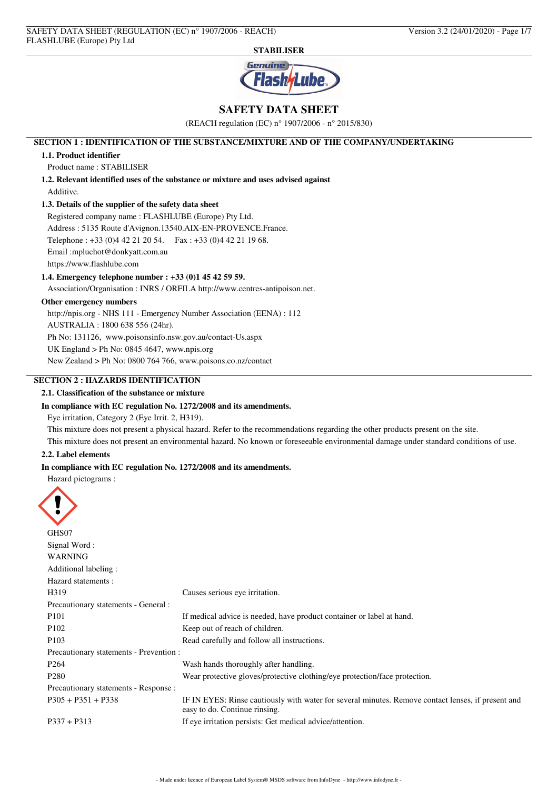

# **SAFETY DATA SHEET**

(REACH regulation (EC) n° 1907/2006 - n° 2015/830)

## **SECTION 1 : IDENTIFICATION OF THE SUBSTANCE/MIXTURE AND OF THE COMPANY/UNDERTAKING**

## **1.1. Product identifier**

Product name : STABILISER

**1.2. Relevant identified uses of the substance or mixture and uses advised against** Additive.

## **1.3. Details of the supplier of the safety data sheet**

Registered company name : FLASHLUBE (Europe) Pty Ltd. Address : 5135 Route d'Avignon.13540.AIX-EN-PROVENCE.France. Telephone : +33 (0)4 42 21 20 54. Fax : +33 (0)4 42 21 19 68. Email :mpluchot@donkyatt.com.au https://www.flashlube.com

### **1.4. Emergency telephone number : +33 (0)1 45 42 59 59.**

Association/Organisation : INRS / ORFILA http://www.centres-antipoison.net.

## **Other emergency numbers**

http://npis.org - NHS 111 - Emergency Number Association (EENA) : 112

AUSTRALIA : 1800 638 556 (24hr).

Ph No: 131126, www.poisonsinfo.nsw.gov.au/contact-Us.aspx

UK England > Ph No: 0845 4647, www.npis.org

New Zealand > Ph No: 0800 764 766, www.poisons.co.nz/contact

# **SECTION 2 : HAZARDS IDENTIFICATION**

## **2.1. Classification of the substance or mixture**

### **In compliance with EC regulation No. 1272/2008 and its amendments.**

Eye irritation, Category 2 (Eye Irrit. 2, H319).

This mixture does not present a physical hazard. Refer to the recommendations regarding the other products present on the site.

This mixture does not present an environmental hazard. No known or foreseeable environmental damage under standard conditions of use.

### **2.2. Label elements**

## **In compliance with EC regulation No. 1272/2008 and its amendments.**

Hazard pictograms :

| GHS07                                   |                                                                                                                                     |
|-----------------------------------------|-------------------------------------------------------------------------------------------------------------------------------------|
| Signal Word:                            |                                                                                                                                     |
| <b>WARNING</b>                          |                                                                                                                                     |
| Additional labeling :                   |                                                                                                                                     |
| Hazard statements:                      |                                                                                                                                     |
| H319                                    | Causes serious eye irritation.                                                                                                      |
| Precautionary statements - General :    |                                                                                                                                     |
| P <sub>101</sub>                        | If medical advice is needed, have product container or label at hand.                                                               |
| P <sub>102</sub>                        | Keep out of reach of children.                                                                                                      |
| P <sub>103</sub>                        | Read carefully and follow all instructions.                                                                                         |
| Precautionary statements - Prevention : |                                                                                                                                     |
| P <sub>264</sub>                        | Wash hands thoroughly after handling.                                                                                               |
| P <sub>280</sub>                        | Wear protective gloves/protective clothing/eye protection/face protection.                                                          |
| Precautionary statements - Response :   |                                                                                                                                     |
| $P305 + P351 + P338$                    | IF IN EYES: Rinse cautiously with water for several minutes. Remove contact lenses, if present and<br>easy to do. Continue rinsing. |
| $P337 + P313$                           | If eye irritation persists: Get medical advice/attention.                                                                           |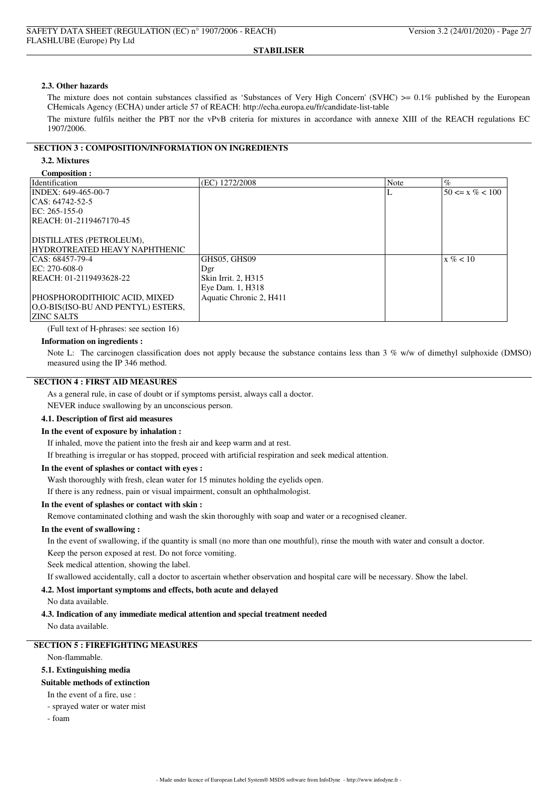#### **2.3. Other hazards**

The mixture does not contain substances classified as 'Substances of Very High Concern' (SVHC)  $> 0.1\%$  published by the European CHemicals Agency (ECHA) under article 57 of REACH: http://echa.europa.eu/fr/candidate-list-table

The mixture fulfils neither the PBT nor the vPvB criteria for mixtures in accordance with annexe XIII of the REACH regulations EC 1907/2006.

## **SECTION 3 : COMPOSITION/INFORMATION ON INGREDIENTS**

## **3.2. Mixtures**

#### **Composition :**

| COMPOSITION &<br>Identification    | (EC) 1272/2008          | Note | $\%$                |
|------------------------------------|-------------------------|------|---------------------|
|                                    |                         |      |                     |
| INDEX: 649-465-00-7                |                         | т.   | $50 \le x \% < 100$ |
| $ CAS: 64742-52-5$                 |                         |      |                     |
| $EC: 265-155-0$                    |                         |      |                     |
| REACH: 01-2119467170-45            |                         |      |                     |
|                                    |                         |      |                     |
| DISTILLATES (PETROLEUM),           |                         |      |                     |
| HYDROTREATED HEAVY NAPHTHENIC      |                         |      |                     |
| $ CAS: 68457-79-4$                 | GHS05, GHS09            |      | $x\% < 10$          |
| EC: 270-608-0                      | Dgr                     |      |                     |
| REACH: 01-2119493628-22            | Skin Irrit. 2, H315     |      |                     |
|                                    | Eye Dam. 1, H318        |      |                     |
| PHOSPHORODITHIOIC ACID, MIXED      | Aquatic Chronic 2, H411 |      |                     |
| O,O-BIS(ISO-BU AND PENTYL) ESTERS, |                         |      |                     |
| <b>ZINC SALTS</b>                  |                         |      |                     |

(Full text of H-phrases: see section 16)

#### **Information on ingredients :**

Note L: The carcinogen classification does not apply because the substance contains less than 3 % w/w of dimethyl sulphoxide (DMSO) measured using the IP 346 method.

## **SECTION 4 : FIRST AID MEASURES**

As a general rule, in case of doubt or if symptoms persist, always call a doctor.

NEVER induce swallowing by an unconscious person.

## **4.1. Description of first aid measures**

#### **In the event of exposure by inhalation :**

If inhaled, move the patient into the fresh air and keep warm and at rest.

If breathing is irregular or has stopped, proceed with artificial respiration and seek medical attention.

#### **In the event of splashes or contact with eyes :**

Wash thoroughly with fresh, clean water for 15 minutes holding the eyelids open.

If there is any redness, pain or visual impairment, consult an ophthalmologist.

#### **In the event of splashes or contact with skin :**

Remove contaminated clothing and wash the skin thoroughly with soap and water or a recognised cleaner.

## **In the event of swallowing :**

In the event of swallowing, if the quantity is small (no more than one mouthful), rinse the mouth with water and consult a doctor. Keep the person exposed at rest. Do not force vomiting.

Seek medical attention, showing the label.

If swallowed accidentally, call a doctor to ascertain whether observation and hospital care will be necessary. Show the label.

## **4.2. Most important symptoms and effects, both acute and delayed**

No data available.

#### **4.3. Indication of any immediate medical attention and special treatment needed**

No data available.

## **SECTION 5 : FIREFIGHTING MEASURES**

Non-flammable.

**5.1. Extinguishing media**

## **Suitable methods of extinction**

In the event of a fire, use :

- sprayed water or water mist

- foam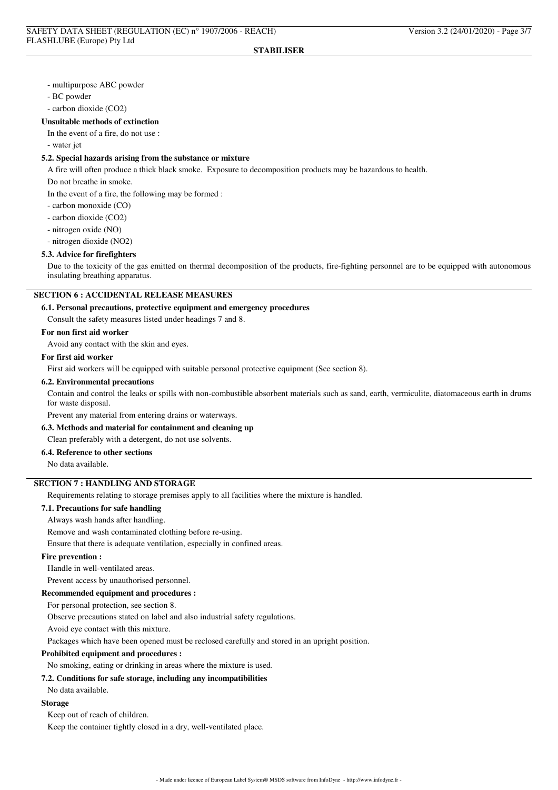- multipurpose ABC powder
- BC powder
- carbon dioxide (CO2)

### **Unsuitable methods of extinction**

In the event of a fire, do not use :

- water jet

## **5.2. Special hazards arising from the substance or mixture**

A fire will often produce a thick black smoke. Exposure to decomposition products may be hazardous to health.

Do not breathe in smoke.

In the event of a fire, the following may be formed :

- carbon monoxide (CO)
- carbon dioxide (CO2)
- nitrogen oxide (NO)
- nitrogen dioxide (NO2)

### **5.3. Advice for firefighters**

Due to the toxicity of the gas emitted on thermal decomposition of the products, fire-fighting personnel are to be equipped with autonomous insulating breathing apparatus.

## **SECTION 6 : ACCIDENTAL RELEASE MEASURES**

### **6.1. Personal precautions, protective equipment and emergency procedures**

Consult the safety measures listed under headings 7 and 8.

## **For non first aid worker**

Avoid any contact with the skin and eyes.

#### **For first aid worker**

First aid workers will be equipped with suitable personal protective equipment (See section 8).

#### **6.2. Environmental precautions**

Contain and control the leaks or spills with non-combustible absorbent materials such as sand, earth, vermiculite, diatomaceous earth in drums for waste disposal.

Prevent any material from entering drains or waterways.

## **6.3. Methods and material for containment and cleaning up**

Clean preferably with a detergent, do not use solvents.

## **6.4. Reference to other sections**

No data available.

# **SECTION 7 : HANDLING AND STORAGE**

Requirements relating to storage premises apply to all facilities where the mixture is handled.

## **7.1. Precautions for safe handling**

Always wash hands after handling.

Remove and wash contaminated clothing before re-using.

Ensure that there is adequate ventilation, especially in confined areas.

### **Fire prevention :**

Handle in well-ventilated areas.

Prevent access by unauthorised personnel.

### **Recommended equipment and procedures :**

For personal protection, see section 8.

Observe precautions stated on label and also industrial safety regulations.

Avoid eye contact with this mixture.

Packages which have been opened must be reclosed carefully and stored in an upright position.

#### **Prohibited equipment and procedures :**

No smoking, eating or drinking in areas where the mixture is used.

#### **7.2. Conditions for safe storage, including any incompatibilities**

#### No data available.

## **Storage**

Keep out of reach of children.

Keep the container tightly closed in a dry, well-ventilated place.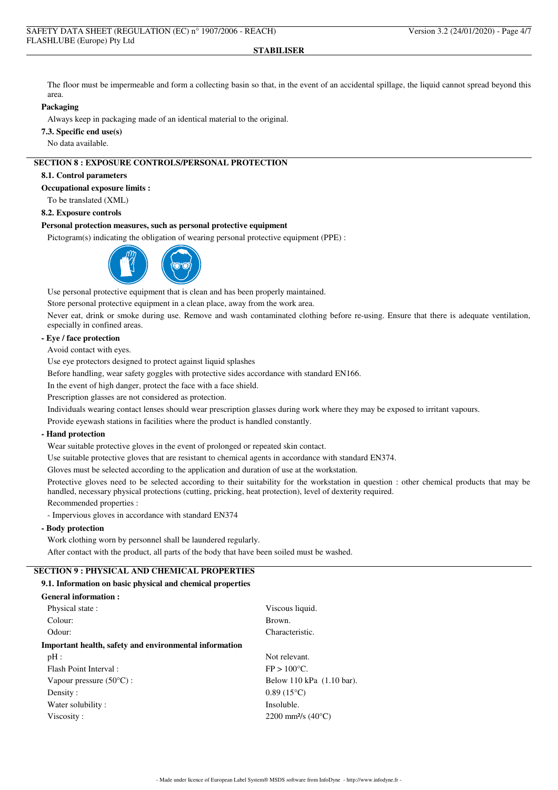The floor must be impermeable and form a collecting basin so that, in the event of an accidental spillage, the liquid cannot spread beyond this area.

## **Packaging**

Always keep in packaging made of an identical material to the original.

**7.3. Specific end use(s)**

No data available.

## **SECTION 8 : EXPOSURE CONTROLS/PERSONAL PROTECTION**

### **8.1. Control parameters**

**Occupational exposure limits :**

To be translated (XML)

### **8.2. Exposure controls**

#### **Personal protection measures, such as personal protective equipment**

Pictogram(s) indicating the obligation of wearing personal protective equipment (PPE) :



Use personal protective equipment that is clean and has been properly maintained.

Store personal protective equipment in a clean place, away from the work area.

Never eat, drink or smoke during use. Remove and wash contaminated clothing before re-using. Ensure that there is adequate ventilation, especially in confined areas.

# **- Eye / face protection**

Avoid contact with eyes.

Use eye protectors designed to protect against liquid splashes

Before handling, wear safety goggles with protective sides accordance with standard EN166.

In the event of high danger, protect the face with a face shield.

Prescription glasses are not considered as protection.

Individuals wearing contact lenses should wear prescription glasses during work where they may be exposed to irritant vapours.

Provide eyewash stations in facilities where the product is handled constantly.

## **- Hand protection**

Wear suitable protective gloves in the event of prolonged or repeated skin contact.

Use suitable protective gloves that are resistant to chemical agents in accordance with standard EN374.

Gloves must be selected according to the application and duration of use at the workstation.

Protective gloves need to be selected according to their suitability for the workstation in question : other chemical products that may be handled, necessary physical protections (cutting, pricking, heat protection), level of dexterity required.

Recommended properties :

- Impervious gloves in accordance with standard EN374

## **- Body protection**

Work clothing worn by personnel shall be laundered regularly.

After contact with the product, all parts of the body that have been soiled must be washed.

# **SECTION 9 : PHYSICAL AND CHEMICAL PROPERTIES**

## **9.1. Information on basic physical and chemical properties**

### **General information :**

| Physical state:                                        | Viscous liquid.                         |
|--------------------------------------------------------|-----------------------------------------|
| Colour:                                                | Brown.                                  |
| Odour:                                                 | Characteristic.                         |
| Important health, safety and environmental information |                                         |
| $pH$ :                                                 | Not relevant.                           |
| Flash Point Interval:                                  | $FP > 100^{\circ}C$ .                   |
| Vapour pressure $(50^{\circ}C)$ :                      | Below 110 kPa (1.10 bar).               |
| Density:                                               | $0.89(15^{\circ}C)$                     |
| Water solubility:                                      | Insoluble.                              |
| Viscosity:                                             | 2200 mm <sup>2</sup> /s $(40^{\circ}C)$ |
|                                                        |                                         |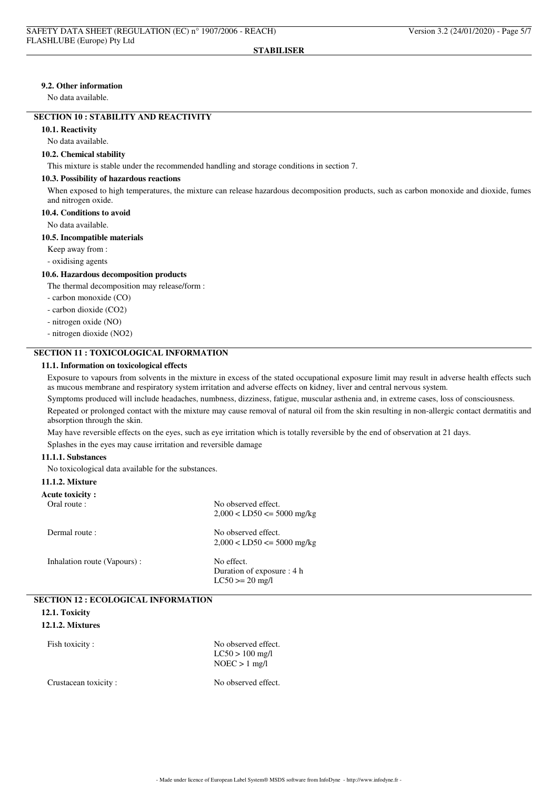### **9.2. Other information**

No data available.

## **SECTION 10 : STABILITY AND REACTIVITY**

**10.1. Reactivity**

### No data available.

## **10.2. Chemical stability**

This mixture is stable under the recommended handling and storage conditions in section 7.

#### **10.3. Possibility of hazardous reactions**

When exposed to high temperatures, the mixture can release hazardous decomposition products, such as carbon monoxide and dioxide, fumes and nitrogen oxide.

## **10.4. Conditions to avoid**

No data available.

## **10.5. Incompatible materials**

Keep away from :

- oxidising agents

#### **10.6. Hazardous decomposition products**

The thermal decomposition may release/form :

- carbon monoxide (CO)

- carbon dioxide (CO2)
- nitrogen oxide (NO)
- nitrogen dioxide (NO2)

## **SECTION 11 : TOXICOLOGICAL INFORMATION**

## **11.1. Information on toxicological effects**

Exposure to vapours from solvents in the mixture in excess of the stated occupational exposure limit may result in adverse health effects such as mucous membrane and respiratory system irritation and adverse effects on kidney, liver and central nervous system.

Symptoms produced will include headaches, numbness, dizziness, fatigue, muscular asthenia and, in extreme cases, loss of consciousness.

Repeated or prolonged contact with the mixture may cause removal of natural oil from the skin resulting in non-allergic contact dermatitis and absorption through the skin.

May have reversible effects on the eyes, such as eye irritation which is totally reversible by the end of observation at 21 days.

Splashes in the eyes may cause irritation and reversible damage

### **11.1.1. Substances**

No toxicological data available for the substances.

#### **11.1.2. Mixture**

| <b>Acute toxicity:</b>      |                                                                |
|-----------------------------|----------------------------------------------------------------|
| Oral route :                | No observed effect.<br>$2,000 < LDS0 \le 5000$ mg/kg           |
| Dermal route:               | No observed effect.<br>$2,000 < LDS0 \le 5000$ mg/kg           |
| Inhalation route (Vapours): | No effect.<br>Duration of exposure : 4 h<br>$LC50 \ge 20$ mg/l |

| <b>SECTION 12 : ECOLOGICAL INFORMATION</b> |                     |  |
|--------------------------------------------|---------------------|--|
| 12.1. Toxicity                             |                     |  |
| 12.1.2. Mixtures                           |                     |  |
| Fish toxicity :                            | No observed effect. |  |

 $LC50 > 100$  mg/l  $NOEC > 1$  mg/l

Crustacean toxicity : No observed effect.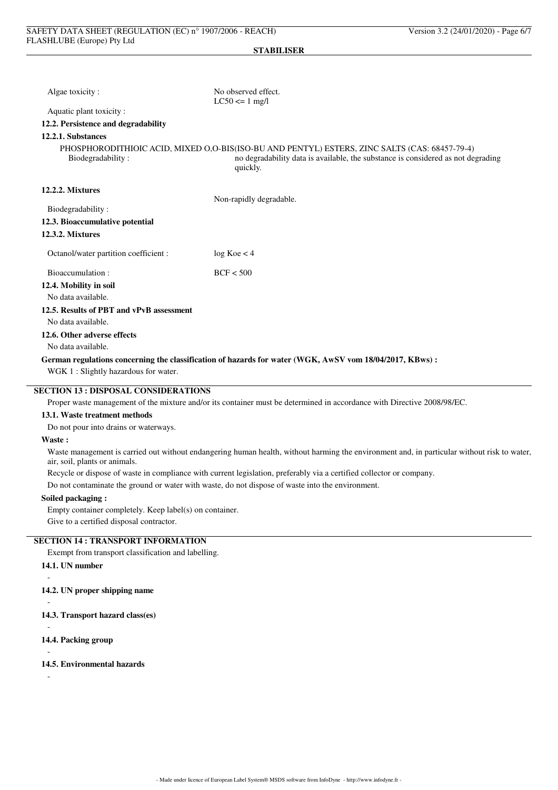| Algae toxicity:                                                                                                         | No observed effect.<br>$LC50 \le 1$ mg/l                                                                                                                                                      |  |  |  |
|-------------------------------------------------------------------------------------------------------------------------|-----------------------------------------------------------------------------------------------------------------------------------------------------------------------------------------------|--|--|--|
| Aquatic plant toxicity:                                                                                                 |                                                                                                                                                                                               |  |  |  |
| 12.2. Persistence and degradability                                                                                     |                                                                                                                                                                                               |  |  |  |
| 12.2.1. Substances                                                                                                      |                                                                                                                                                                                               |  |  |  |
| Biodegradability:                                                                                                       | PHOSPHORODITHIOIC ACID, MIXED O,O-BIS(ISO-BU AND PENTYL) ESTERS, ZINC SALTS (CAS: 68457-79-4)<br>no degradability data is available, the substance is considered as not degrading<br>quickly. |  |  |  |
| 12.2.2. Mixtures                                                                                                        |                                                                                                                                                                                               |  |  |  |
|                                                                                                                         | Non-rapidly degradable.                                                                                                                                                                       |  |  |  |
| Biodegradability:                                                                                                       |                                                                                                                                                                                               |  |  |  |
| 12.3. Bioaccumulative potential                                                                                         |                                                                                                                                                                                               |  |  |  |
| <b>12.3.2. Mixtures</b>                                                                                                 |                                                                                                                                                                                               |  |  |  |
| Octanol/water partition coefficient :                                                                                   | log Koe < 4                                                                                                                                                                                   |  |  |  |
| Bioaccumulation:                                                                                                        | BCF < 500                                                                                                                                                                                     |  |  |  |
| 12.4. Mobility in soil                                                                                                  |                                                                                                                                                                                               |  |  |  |
| No data available.                                                                                                      |                                                                                                                                                                                               |  |  |  |
| 12.5. Results of PBT and vPvB assessment                                                                                |                                                                                                                                                                                               |  |  |  |
| No data available.                                                                                                      |                                                                                                                                                                                               |  |  |  |
| 12.6. Other adverse effects                                                                                             |                                                                                                                                                                                               |  |  |  |
| No data available.                                                                                                      |                                                                                                                                                                                               |  |  |  |
| German regulations concerning the classification of hazards for water (WGK, AwSV vom 18/04/2017, KBws) :                |                                                                                                                                                                                               |  |  |  |
| WGK 1: Slightly hazardous for water.                                                                                    |                                                                                                                                                                                               |  |  |  |
| <b>SECTION 13 : DISPOSAL CONSIDERATIONS</b>                                                                             |                                                                                                                                                                                               |  |  |  |
| Proper waste management of the mixture and/or its container must be determined in accordance with Directive 2008/98/EC. |                                                                                                                                                                                               |  |  |  |
| 13.1. Waste treatment methods                                                                                           |                                                                                                                                                                                               |  |  |  |
| Do not pour into drains or waterways.                                                                                   |                                                                                                                                                                                               |  |  |  |
| $\mathbf{W}$ and $\mathbf{W}$                                                                                           |                                                                                                                                                                                               |  |  |  |

#### **Waste :**

Waste management is carried out without endangering human health, without harming the environment and, in particular without risk to water, air, soil, plants or animals.

Recycle or dispose of waste in compliance with current legislation, preferably via a certified collector or company.

Do not contaminate the ground or water with waste, do not dispose of waste into the environment.

# **Soiled packaging :**

Empty container completely. Keep label(s) on container.

Give to a certified disposal contractor.

# **SECTION 14 : TRANSPORT INFORMATION**

Exempt from transport classification and labelling.

## **14.1. UN number**

- **14.2. UN proper shipping name**
- -

-

- **14.3. Transport hazard class(es)**
- **14.4. Packing group**
- -

-

**14.5. Environmental hazards**

-